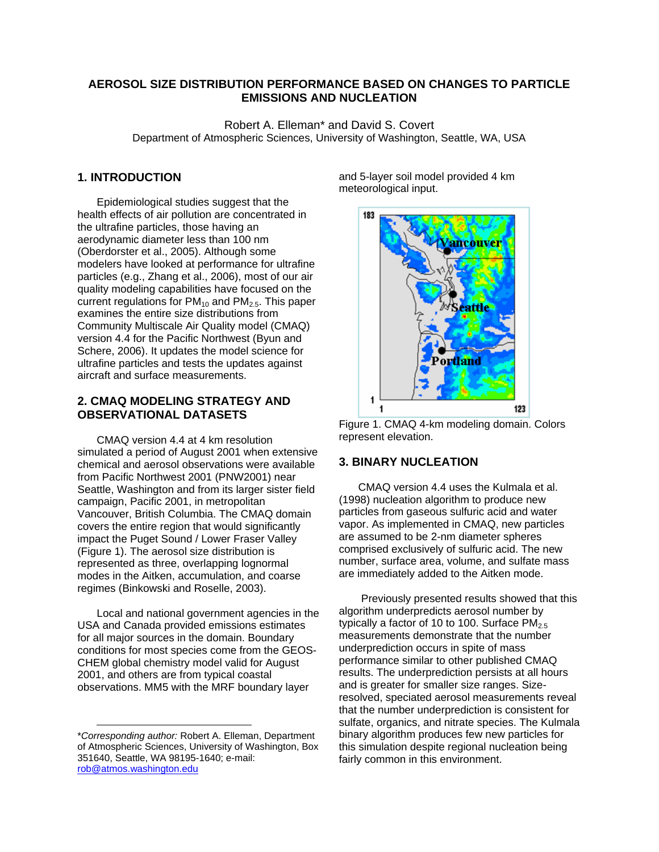## **AEROSOL SIZE DISTRIBUTION PERFORMANCE BASED ON CHANGES TO PARTICLE EMISSIONS AND NUCLEATION**

Robert A. Elleman\* and David S. Covert Department of Atmospheric Sciences, University of Washington, Seattle, WA, USA

## **1. INTRODUCTION**

Epidemiological studies suggest that the health effects of air pollution are concentrated in the ultrafine particles, those having an aerodynamic diameter less than 100 nm (Oberdorster et al., 2005). Although some modelers have looked at performance for ultrafine particles (e.g., Zhang et al., 2006), most of our air quality modeling capabilities have focused on the current regulations for  $PM_{10}$  and  $PM_{2.5}$ . This paper examines the entire size distributions from Community Multiscale Air Quality model (CMAQ) version 4.4 for the Pacific Northwest (Byun and Schere, 2006). It updates the model science for ultrafine particles and tests the updates against aircraft and surface measurements.

## **2. CMAQ MODELING STRATEGY AND OBSERVATIONAL DATASETS**

CMAQ version 4.4 at 4 km resolution simulated a period of August 2001 when extensive chemical and aerosol observations were available from Pacific Northwest 2001 (PNW2001) near Seattle, Washington and from its larger sister field campaign, Pacific 2001, in metropolitan Vancouver, British Columbia. The CMAQ domain covers the entire region that would significantly impact the Puget Sound / Lower Fraser Valley (Figure 1). The aerosol size distribution is represented as three, overlapping lognormal modes in the Aitken, accumulation, and coarse regimes (Binkowski and Roselle, 2003).

Local and national government agencies in the USA and Canada provided emissions estimates for all major sources in the domain. Boundary conditions for most species come from the GEOS-CHEM global chemistry model valid for August 2001, and others are from typical coastal observations. MM5 with the MRF boundary layer

l

and 5-layer soil model provided 4 km meteorological input.



Figure 1. CMAQ 4-km modeling domain. Colors represent elevation.

# **3. BINARY NUCLEATION**

CMAQ version 4.4 uses the Kulmala et al. (1998) nucleation algorithm to produce new particles from gaseous sulfuric acid and water vapor. As implemented in CMAQ, new particles are assumed to be 2-nm diameter spheres comprised exclusively of sulfuric acid. The new number, surface area, volume, and sulfate mass are immediately added to the Aitken mode.

 Previously presented results showed that this algorithm underpredicts aerosol number by typically a factor of 10 to 100. Surface  $PM_{2.5}$ measurements demonstrate that the number underprediction occurs in spite of mass performance similar to other published CMAQ results. The underprediction persists at all hours and is greater for smaller size ranges. Sizeresolved, speciated aerosol measurements reveal that the number underprediction is consistent for sulfate, organics, and nitrate species. The Kulmala binary algorithm produces few new particles for this simulation despite regional nucleation being fairly common in this environment.

<sup>\*</sup>*Corresponding author:* Robert A. Elleman, Department of Atmospheric Sciences, University of Washington, Box 351640, Seattle, WA 98195-1640; e-mail: rob@atmos.washington.edu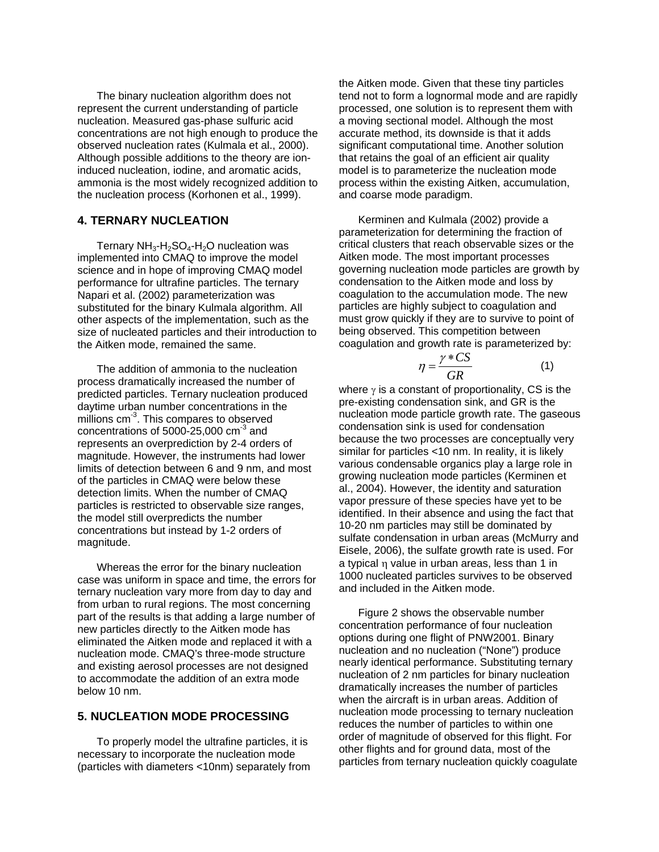The binary nucleation algorithm does not represent the current understanding of particle nucleation. Measured gas-phase sulfuric acid concentrations are not high enough to produce the observed nucleation rates (Kulmala et al., 2000). Although possible additions to the theory are ioninduced nucleation, iodine, and aromatic acids, ammonia is the most widely recognized addition to the nucleation process (Korhonen et al., 1999).

## **4. TERNARY NUCLEATION**

Ternary  $NH_3-H_2SO_4-H_2O$  nucleation was implemented into CMAQ to improve the model science and in hope of improving CMAQ model performance for ultrafine particles. The ternary Napari et al. (2002) parameterization was substituted for the binary Kulmala algorithm. All other aspects of the implementation, such as the size of nucleated particles and their introduction to the Aitken mode, remained the same.

The addition of ammonia to the nucleation process dramatically increased the number of predicted particles. Ternary nucleation produced daytime urban number concentrations in the millions cm<sup>-3</sup>. This compares to observed concentrations of  $5000-25,000$  cm<sup>-3</sup> and represents an overprediction by 2-4 orders of magnitude. However, the instruments had lower limits of detection between 6 and 9 nm, and most of the particles in CMAQ were below these detection limits. When the number of CMAQ particles is restricted to observable size ranges, the model still overpredicts the number concentrations but instead by 1-2 orders of magnitude.

Whereas the error for the binary nucleation case was uniform in space and time, the errors for ternary nucleation vary more from day to day and from urban to rural regions. The most concerning part of the results is that adding a large number of new particles directly to the Aitken mode has eliminated the Aitken mode and replaced it with a nucleation mode. CMAQ's three-mode structure and existing aerosol processes are not designed to accommodate the addition of an extra mode below 10 nm.

#### **5. NUCLEATION MODE PROCESSING**

To properly model the ultrafine particles, it is necessary to incorporate the nucleation mode (particles with diameters <10nm) separately from the Aitken mode. Given that these tiny particles tend not to form a lognormal mode and are rapidly processed, one solution is to represent them with a moving sectional model. Although the most accurate method, its downside is that it adds significant computational time. Another solution that retains the goal of an efficient air quality model is to parameterize the nucleation mode process within the existing Aitken, accumulation, and coarse mode paradigm.

Kerminen and Kulmala (2002) provide a parameterization for determining the fraction of critical clusters that reach observable sizes or the Aitken mode. The most important processes governing nucleation mode particles are growth by condensation to the Aitken mode and loss by coagulation to the accumulation mode. The new particles are highly subject to coagulation and must grow quickly if they are to survive to point of being observed. This competition between coagulation and growth rate is parameterized by:

$$
\eta = \frac{\gamma * CS}{GR} \tag{1}
$$

where  $\gamma$  is a constant of proportionality, CS is the pre-existing condensation sink, and GR is the nucleation mode particle growth rate. The gaseous condensation sink is used for condensation because the two processes are conceptually very similar for particles <10 nm. In reality, it is likely various condensable organics play a large role in growing nucleation mode particles (Kerminen et al., 2004). However, the identity and saturation vapor pressure of these species have yet to be identified. In their absence and using the fact that 10-20 nm particles may still be dominated by sulfate condensation in urban areas (McMurry and Eisele, 2006), the sulfate growth rate is used. For a typical η value in urban areas, less than 1 in 1000 nucleated particles survives to be observed and included in the Aitken mode.

Figure 2 shows the observable number concentration performance of four nucleation options during one flight of PNW2001. Binary nucleation and no nucleation ("None") produce nearly identical performance. Substituting ternary nucleation of 2 nm particles for binary nucleation dramatically increases the number of particles when the aircraft is in urban areas. Addition of nucleation mode processing to ternary nucleation reduces the number of particles to within one order of magnitude of observed for this flight. For other flights and for ground data, most of the particles from ternary nucleation quickly coagulate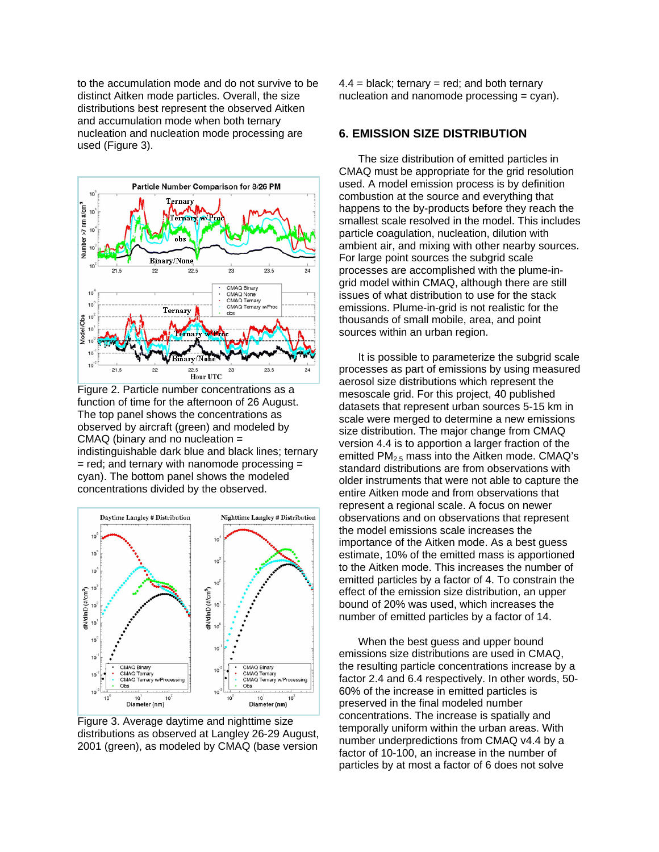to the accumulation mode and do not survive to be distinct Aitken mode particles. Overall, the size distributions best represent the observed Aitken and accumulation mode when both ternary nucleation and nucleation mode processing are used (Figure 3).



Figure 2. Particle number concentrations as a function of time for the afternoon of 26 August. The top panel shows the concentrations as observed by aircraft (green) and modeled by CMAQ (binary and no nucleation = indistinguishable dark blue and black lines; ternary  $=$  red; and ternary with nanomode processing  $=$ cyan). The bottom panel shows the modeled concentrations divided by the observed.



Figure 3. Average daytime and nighttime size distributions as observed at Langley 26-29 August, 2001 (green), as modeled by CMAQ (base version

 $4.4 =$  black; ternary = red; and both ternary nucleation and nanomode processing = cyan).

#### **6. EMISSION SIZE DISTRIBUTION**

The size distribution of emitted particles in CMAQ must be appropriate for the grid resolution used. A model emission process is by definition combustion at the source and everything that happens to the by-products before they reach the smallest scale resolved in the model. This includes particle coagulation, nucleation, dilution with ambient air, and mixing with other nearby sources. For large point sources the subgrid scale processes are accomplished with the plume-ingrid model within CMAQ, although there are still issues of what distribution to use for the stack emissions. Plume-in-grid is not realistic for the thousands of small mobile, area, and point sources within an urban region.

It is possible to parameterize the subgrid scale processes as part of emissions by using measured aerosol size distributions which represent the mesoscale grid. For this project, 40 published datasets that represent urban sources 5-15 km in scale were merged to determine a new emissions size distribution. The major change from CMAQ version 4.4 is to apportion a larger fraction of the emitted  $PM<sub>2.5</sub>$  mass into the Aitken mode. CMAQ's standard distributions are from observations with older instruments that were not able to capture the entire Aitken mode and from observations that represent a regional scale. A focus on newer observations and on observations that represent the model emissions scale increases the importance of the Aitken mode. As a best guess estimate, 10% of the emitted mass is apportioned to the Aitken mode. This increases the number of emitted particles by a factor of 4. To constrain the effect of the emission size distribution, an upper bound of 20% was used, which increases the number of emitted particles by a factor of 14.

When the best quess and upper bound emissions size distributions are used in CMAQ, the resulting particle concentrations increase by a factor 2.4 and 6.4 respectively. In other words, 50- 60% of the increase in emitted particles is preserved in the final modeled number concentrations. The increase is spatially and temporally uniform within the urban areas. With number underpredictions from CMAQ v4.4 by a factor of 10-100, an increase in the number of particles by at most a factor of 6 does not solve